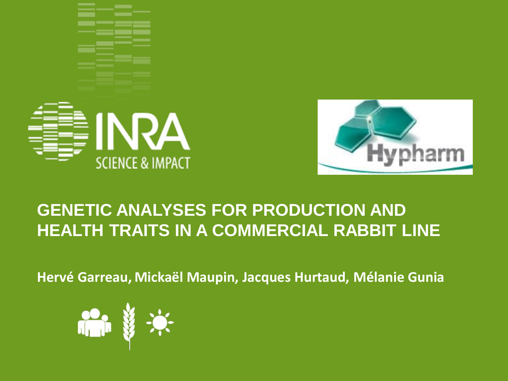



### **GENETIC ANALYSES FOR PRODUCTION AND HEALTH TRAITS IN A COMMERCIAL RABBIT LINE**

**Hervé Garreau, Mickaël Maupin, Jacques Hurtaud, Mélanie Gunia**

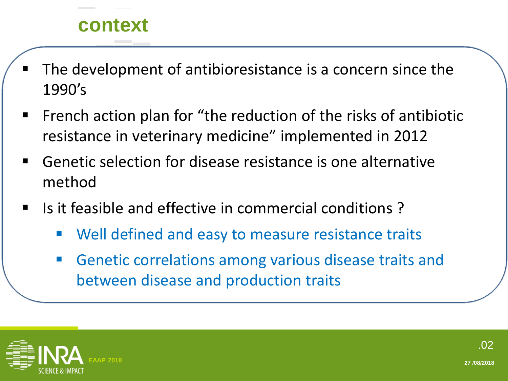#### **context**

- The development of antibioresistance is a concern since the 1990's
- French action plan for "the reduction of the risks of antibiotic resistance in veterinary medicine" implemented in 2012
- Genetic selection for disease resistance is one alternative method
- Is it feasible and effective in commercial conditions ?
	- Well defined and easy to measure resistance traits
	- Genetic correlations among various disease traits and between disease and production traits

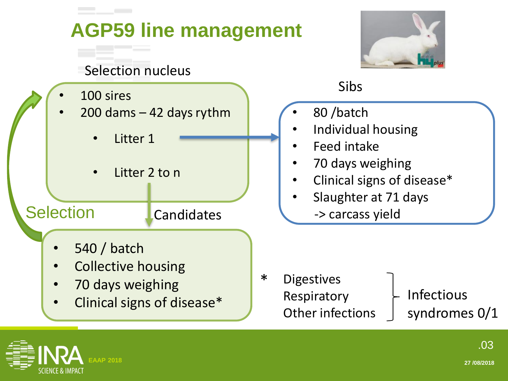

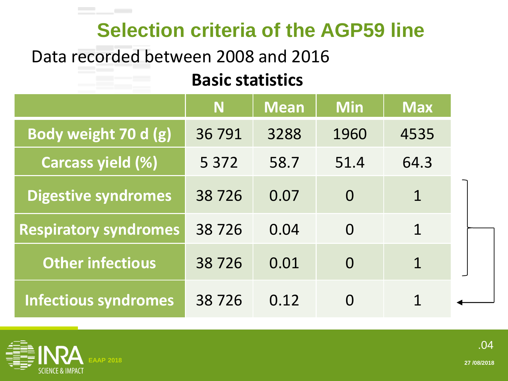## **Selection criteria of the AGP59 line**

#### Data recorded between 2008 and 2016

**Contract Contract** 

#### **Basic statistics**

|                              | <b>N</b> | <b>Mean</b> | <b>Min</b> | <b>Max</b>   |
|------------------------------|----------|-------------|------------|--------------|
| Body weight 70 d (g)         | 36791    | 3288        | 1960       | 4535         |
| Carcass yield (%)            | 5 3 7 2  | 58.7        | 51.4       | 64.3         |
| <b>Digestive syndromes</b>   | 38726    | 0.07        | $\Omega$   | 1            |
| <b>Respiratory syndromes</b> | 38726    | 0.04        | $\Omega$   | $\mathbf{1}$ |
| <b>Other infectious</b>      | 38726    | 0.01        | $\Omega$   | 1            |
| <b>Infectious syndromes</b>  | 38726    | 0.12        |            |              |

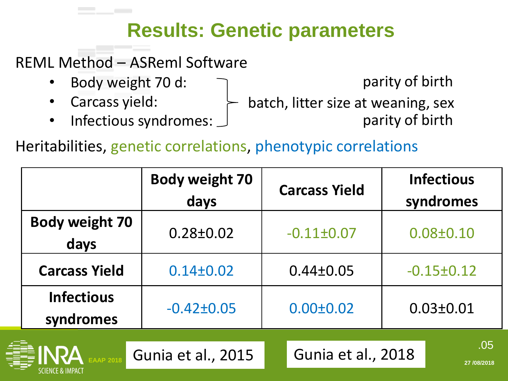# **Results: Genetic parameters**

REML Method – ASReml Software

- Body weight 70 d:
- Carcass yield:

SCIENCE & IMPACI

• Infectious syndromes:

parity of birth

batch, litter size at weaning, sex parity of birth

Heritabilities, genetic correlations, phenotypic correlations

|                                | <b>Body weight 70</b><br>days | <b>Carcass Yield</b> | <b>Infectious</b><br>syndromes |  |
|--------------------------------|-------------------------------|----------------------|--------------------------------|--|
| <b>Body weight 70</b><br>days  | $0.28 \pm 0.02$               | $-0.11\pm0.07$       | $0.08 \pm 0.10$                |  |
| <b>Carcass Yield</b>           | $0.14 \pm 0.02$               | $0.44 \pm 0.05$      | $-0.15 \pm 0.12$               |  |
| <b>Infectious</b><br>syndromes | $-0.42 \pm 0.05$              | $0.00 \pm 0.02$      | $0.03 \pm 0.01$                |  |
|                                | Gunia et al., 2015            | Gunia et al., 2018   | .05<br>27/08/2018              |  |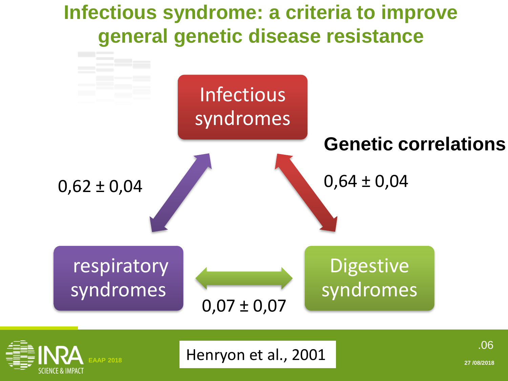# **Infectious syndrome: a criteria to improve general genetic disease resistance**





**EAAP 2018 27 /08/2018 27 /08/2018** 

.06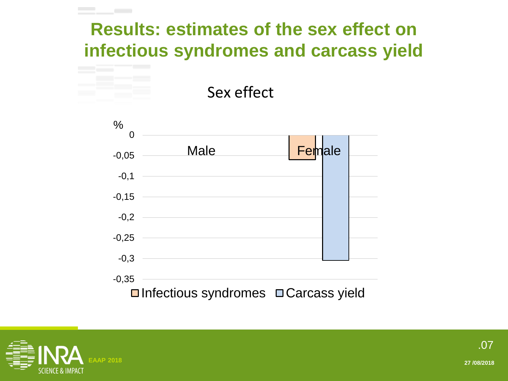## **Results: estimates of the sex effect on infectious syndromes and carcass yield**

Sex effect



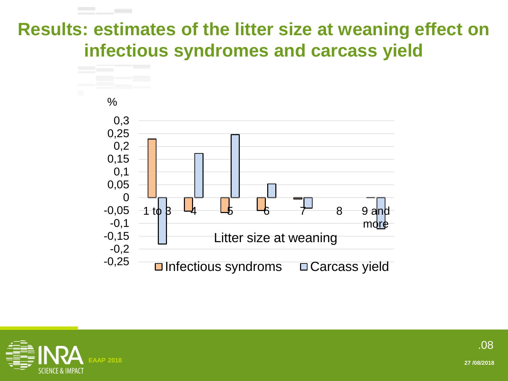### **Results: estimates of the litter size at weaning effect on infectious syndromes and carcass yield**



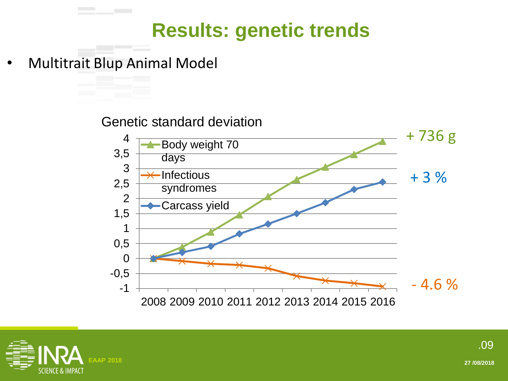# **Results: genetic trends**

• Multitrait Blup Animal Model

Genetic standard deviation



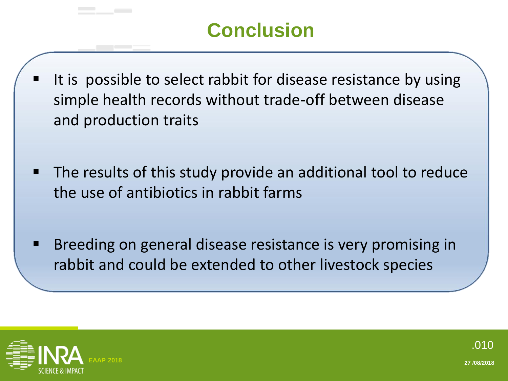# **Conclusion**

- It is possible to select rabbit for disease resistance by using simple health records without trade-off between disease and production traits
- The results of this study provide an additional tool to reduce the use of antibiotics in rabbit farms
- Breeding on general disease resistance is very promising in rabbit and could be extended to other livestock species